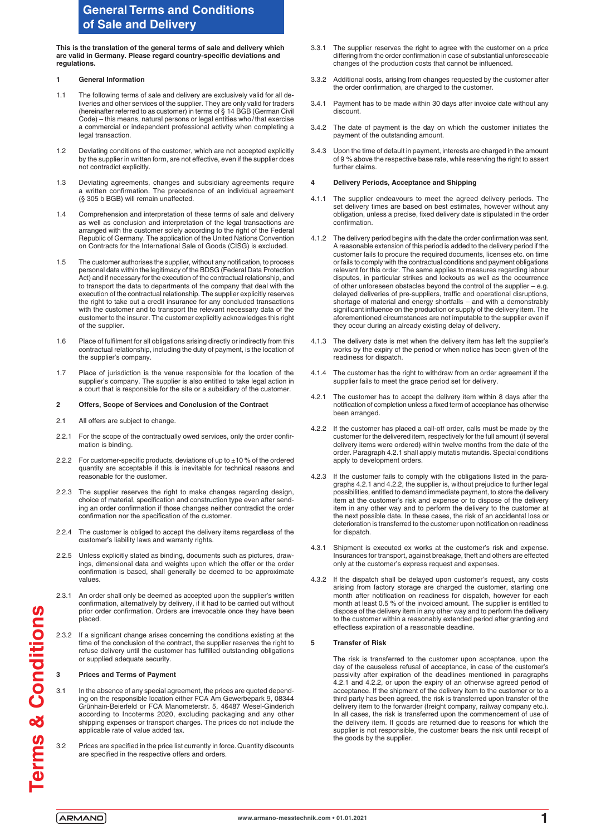# **General Terms and Conditions of Sale and Delivery**

**This is the translation of the general terms of sale and delivery which are valid in Germany. Please regard country-specific deviations and regulations.**

### **1 General Information**

- 1.1 The following terms of sale and delivery are exclusively valid for all deliveries and other services of the supplier. They are only valid for traders (hereinafter referred to as customer) in terms of § 14 BGB (German Civil Code) – this means, natural persons or legal entities who/that exercise a commercial or independent professional activity when completing a legal transaction.
- 1.2 Deviating conditions of the customer, which are not accepted explicitly by the supplier in written form, are not effective, even if the supplier does not contradict explicitly.
- 1.3 Deviating agreements, changes and subsidiary agreements require a written confirmation. The precedence of an individual agreement (§ 305 b BGB) will remain unaffected.
- 1.4 Comprehension and interpretation of these terms of sale and delivery as well as conclusion and interpretation of the legal transactions are arranged with the customer solely according to the right of the Federal Republic of Germany. The application of the United Nations Convention on Contracts for the International Sale of Goods (CISG) is excluded.
- 1.5 The customer authorises the supplier, without any notification, to process personal data within the legitimacy of the BDSG (Federal Data Protection Act) and if necessary for the execution of the contractual relationship, and to transport the data to departments of the company that deal with the execution of the contractual relationship. The supplier explicitly reserves the right to take out a credit insurance for any concluded transactions with the customer and to transport the relevant necessary data of the customer to the insurer. The customer explicitly acknowledges this right of the supplier.
- 1.6 Place of fulfilment for all obligations arising directly or indirectly from this contractual relationship, including the duty of payment, is the location of the supplier's company.
- 1.7 Place of jurisdiction is the venue responsible for the location of the supplier's company. The supplier is also entitled to take legal action in a court that is responsible for the site or a subsidiary of the customer.

### **2 Offers, Scope of Services and Conclusion of the Contract**

- 2.1 All offers are subject to change
- 2.2.1 For the scope of the contractually owed services, only the order confirmation is binding.
- 2.2.2 For customer-specific products, deviations of up to  $\pm 10$  % of the ordered quantity are acceptable if this is inevitable for technical reasons and reasonable for the customer.
- 2.2.3 The supplier reserves the right to make changes regarding design, choice of material, specification and construction type even after sending an order confirmation if those changes neither contradict the order confirmation nor the specification of the customer.
- 2.2.4 The customer is obliged to accept the delivery items regardless of the customer's liability laws and warranty rights.
- 2.2.5 Unless explicitly stated as binding, documents such as pictures, drawings, dimensional data and weights upon which the offer or the order confirmation is based, shall generally be deemed to be approximate values.
- 2.3.1 An order shall only be deemed as accepted upon the supplier's written confirmation, alternatively by delivery, if it had to be carried out without prior order confirmation. Orders are irrevocable once they have been placed.
- 2.3.2 If a significant change arises concerning the conditions existing at the time of the conclusion of the contract, the supplier reserves the right to refuse delivery until the customer has fulfilled outstanding obligations or supplied adequate security.

### **3 Prices and Terms of Payment**

- 3.1 In the absence of any special agreement, the prices are quoted depending on the responsible location either FCA Am Gewerbepark 9, 08344 Grünhain-Beierfeld or FCA Manometerstr. 5, 46487 Wesel-Ginderich according to Incoterms 2020, excluding packaging and any other shipping expenses or transport charges. The prices do not include the applicable rate of value added tax.
- 3.2 Prices are specified in the price list currently in force. Quantity discounts are specified in the respective offers and orders.
- 3.3.1 The supplier reserves the right to agree with the customer on a price differing from the order confirmation in case of substantial unforeseeable changes of the production costs that cannot be influenced.
- 3.3.2 Additional costs, arising from changes requested by the customer after the order confirmation, are charged to the customer.
- 3.4.1 Payment has to be made within 30 days after invoice date without any discount.
- 3.4.2 The date of payment is the day on which the customer initiates the payment of the outstanding amount.
- 3.4.3 Upon the time of default in payment, interests are charged in the amount of 9 % above the respective base rate, while reserving the right to assert further claims.

### **4 Delivery Periods, Acceptance and Shipping**

- 4.1.1 The supplier endeavours to meet the agreed delivery periods. The set delivery times are based on best estimates, however without any obligation, unless a precise, fixed delivery date is stipulated in the order confirmation.
- 4.1.2 The delivery period begins with the date the order confirmation was sent. A reasonable extension of this period is added to the delivery period if the customer fails to procure the required documents, licenses etc. on time or fails to comply with the contractual conditions and payment obligations relevant for this order. The same applies to measures regarding labour disputes, in particular strikes and lockouts as well as the occurrence of other unforeseen obstacles beyond the control of the supplier – e.g. delayed deliveries of pre-suppliers, traffic and operational disruptions, shortage of material and energy shortfalls – and with a demonstrably significant influence on the production or supply of the delivery item. The aforementioned circumstances are not imputable to the supplier even if they occur during an already existing delay of delivery.
- 4.1.3 The delivery date is met when the delivery item has left the supplier's works by the expiry of the period or when notice has been given of the readiness for dispatch.
- 4.1.4 The customer has the right to withdraw from an order agreement if the supplier fails to meet the grace period set for delivery.
- 4.2.1 The customer has to accept the delivery item within 8 days after the notification of completion unless a fixed term of acceptance has otherwise been arranged.
- 4.2.2 If the customer has placed a call-off order, calls must be made by the customer for the delivered item, respectively for the full amount (if several delivery items were ordered) within twelve months from the date of the order. Paragraph 4.2.1 shall apply mutatis mutandis. Special conditions apply to development orders.
- 4.2.3 If the customer fails to comply with the obligations listed in the paragraphs 4.2.1 and 4.2.2, the supplier is, without prejudice to further legal possibilities, entitled to demand immediate payment, to store the delivery item at the customer's risk and expense or to dispose of the delivery item in any other way and to perform the delivery to the customer at the next possible date. In these cases, the risk of an accidental loss or deterioration is transferred to the customer upon notification on readiness for dispatch.
- 4.3.1 Shipment is executed ex works at the customer's risk and expense. Insurances for transport, against breakage, theft and others are effected only at the customer's express request and expenses.
- 4.3.2 If the dispatch shall be delayed upon customer's request, any costs arising from factory storage are charged the customer, starting one month after notification on readiness for dispatch, however for each month at least 0.5 % of the invoiced amount. The supplier is entitled to dispose of the delivery item in any other way and to perform the delivery to the customer within a reasonably extended period after granting and effectless expiration of a reasonable deadline.

### **5 Transfer of Risk**

The risk is transferred to the customer upon acceptance, upon the day of the causeless refusal of acceptance, in case of the customer's passivity after expiration of the deadlines mentioned in paragraphs 4.2.1 and 4.2.2, or upon the expiry of an otherwise agreed period of acceptance. If the shipment of the delivery item to the customer or to a third party has been agreed, the risk is transferred upon transfer of the delivery item to the forwarder (freight company, railway company etc.). In all cases, the risk is transferred upon the commencement of use of the delivery item. If goods are returned due to reasons for which the supplier is not responsible, the customer bears the risk until receipt of the goods by the supplier.